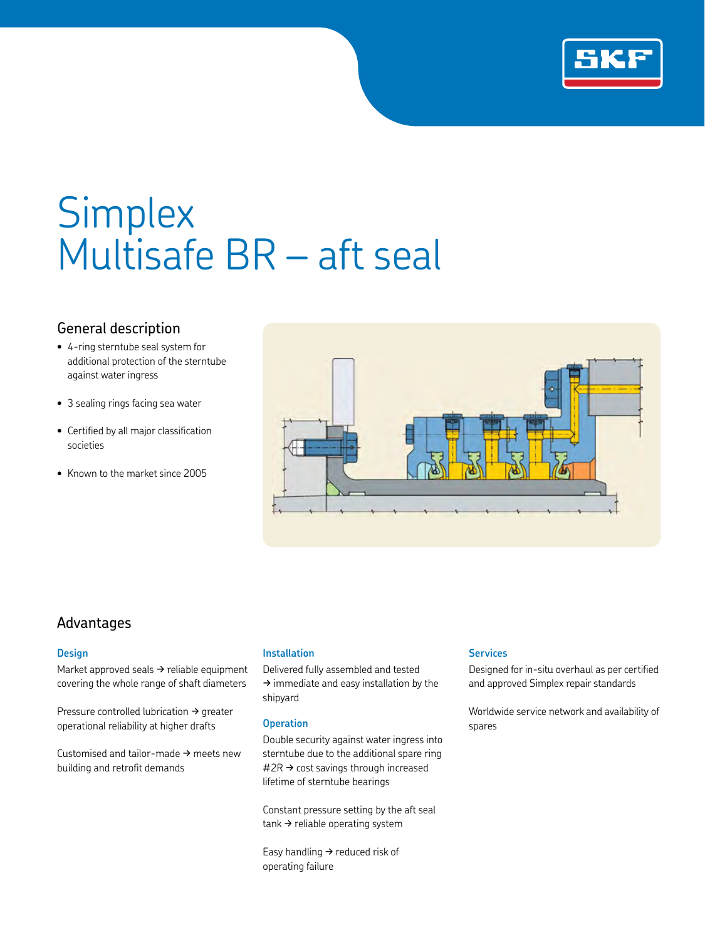

# **Simplex** Multisafe BR – aft seal

# General description

- 4-ring sterntube seal system for additional protection of the sterntube against water ingress
- 3 sealing rings facing sea water
- Certified by all major classification societies
- Known to the market since 2005



### Advantages

#### **Design**

Market approved seals  $\rightarrow$  reliable equipment covering the whole range of shaft diameters

Pressure controlled lubrication  $\rightarrow$  greater operational reliability at higher drafts

Customised and tailor-made  $\rightarrow$  meets new building and retrofit demands

#### **Installation**

Delivered fully assembled and tested  $\rightarrow$  immediate and easy installation by the shipyard

#### **Operation**

Double security against water ingress into sterntube due to the additional spare ring  $#2R \rightarrow cost$  savings through increased lifetime of sterntube bearings

Constant pressure setting by the aft seal  $tanh \rightarrow$  reliable operating system

Easy handling  $\rightarrow$  reduced risk of operating failure

#### **Services**

Designed for in-situ overhaul as per certified and approved Simplex repair standards

Worldwide service network and availability of spares